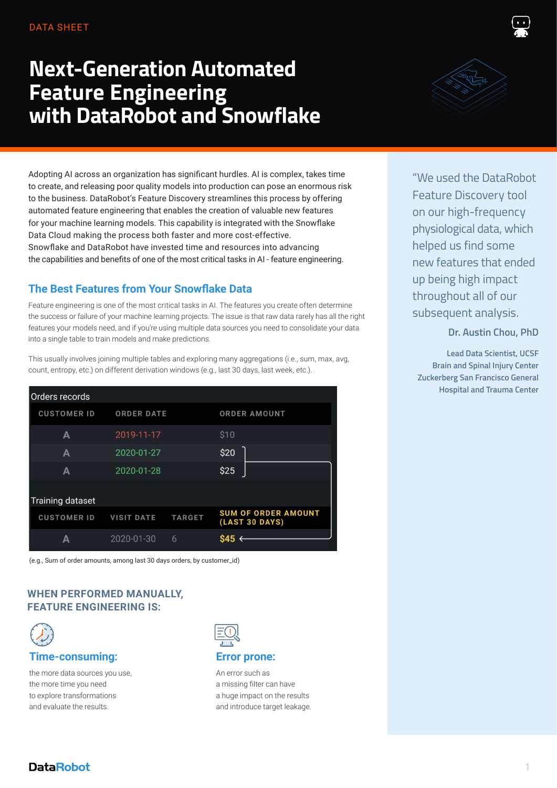#### DATA SHEET

# **Next-Generation Automated Feature Engineering with DataRobot and Snowflake**



Adopting AI across an organization has significant hurdles. AI is complex, takes time to create, and releasing poor quality models into production can pose an enormous risk to the business. DataRobot's Feature Discovery streamlines this process by offering automated feature engineering that enables the creation of valuable new features for your machine learning models. This capability is integrated with the Snowflake Data Cloud making the process both faster and more cost-effective. Snowflake and DataRobot have invested time and resources into advancing the capabilities and benefits of one of the most critical tasks in AI - feature engineering.

#### **The Best Features from Your Snowflake Data**

Feature engineering is one of the most critical tasks in AI. The features you create often determine the success or failure of your machine learning projects. The issue is that raw data rarely has all the right features your models need, and if you're using multiple data sources you need to consolidate your data into a single table to train models and make predictions.

This usually involves joining multiple tables and exploring many aggregations (i.e., sum, max, avg, count, entropy, etc.) on different derivation windows (e.g., last 30 days, last week, etc.).

| Orders records          |                   |               |                                                     |
|-------------------------|-------------------|---------------|-----------------------------------------------------|
| <b>CUSTOMER ID</b>      | <b>ORDER DATE</b> |               | <b>ORDER AMOUNT</b>                                 |
| A                       | 2019-11-17        |               | \$10                                                |
| Α                       | 2020-01-27        |               | \$20                                                |
| А                       | 2020-01-28        |               | \$25                                                |
| <b>Training dataset</b> |                   |               |                                                     |
| <b>CUSTOMER ID</b>      | <b>VISIT DATE</b> | <b>TARGET</b> | <b>SUM OF ORDER AMOUNT</b><br><b>(LAST 30 DAYS)</b> |
| А                       | 2020-01-30        | 6             | <b>S45</b>                                          |

(e.g., Sum of order amounts, among last 30 days orders, by customer\_id)

#### **WHEN PERFORMED MANUALLY, FEATURE ENGINEERING IS:**



#### **Time-consuming:**

the more data sources you use, the more time you need to explore transformations and evaluate the results.



An error such as a missing filter can have a huge impact on the results and introduce target leakage.

"We used the DataRobot Feature Discovery tool on our high-frequency physiological data, which helped us find some new features that ended up being high impact throughout all of our subsequent analysis.

#### **Dr. Austin Chou, PhD**

**Lead Data Scientist, UCSF Brain and Spinal Injury Center Zuckerberg San Francisco General Hospital and Trauma Center**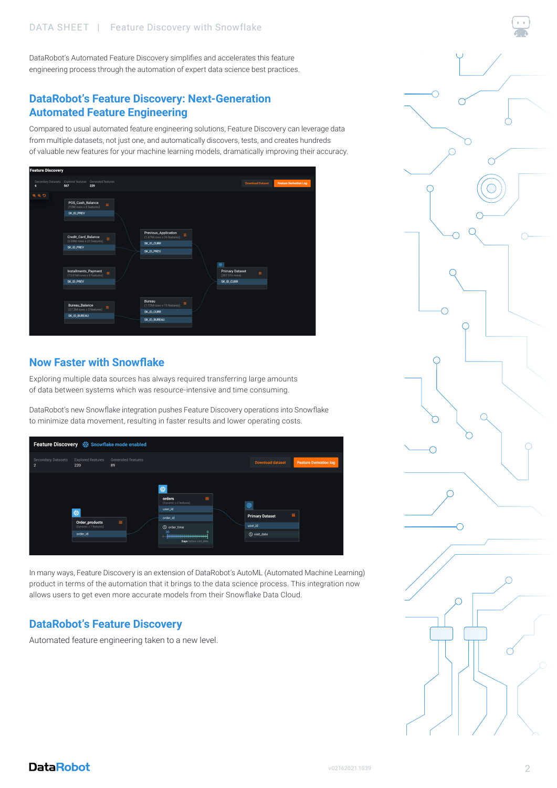DataRobot's Automated Feature Discovery simplifies and accelerates this feature engineering process through the automation of expert data science best practices.

#### **DataRobot's Feature Discovery: Next-Generation Automated Feature Engineering**

Compared to usual automated feature engineering solutions, Feature Discovery can leverage data from multiple datasets, not just one, and automatically discovers, tests, and creates hundreds of valuable new features for your machine learning models, dramatically improving their accuracy.

| <b>Feature Discovery</b>                                     |                                                                                                                                                                                                         |                                  |  |                                                                                            |  |                                                                   |                         |                               |
|--------------------------------------------------------------|---------------------------------------------------------------------------------------------------------------------------------------------------------------------------------------------------------|----------------------------------|--|--------------------------------------------------------------------------------------------|--|-------------------------------------------------------------------|-------------------------|-------------------------------|
| Secondary Datasets Explored features Generated features<br>6 | 567                                                                                                                                                                                                     | 229                              |  |                                                                                            |  |                                                                   | <b>Download Dataset</b> | <b>Feature Derivation Log</b> |
| QQD                                                          | POS_Cash_Balance<br>(10M rows x 8 features)<br>SK_ID_PREV<br>Credit_Card_Balance<br>(3.84M rows x 23 features)<br><b>SK_ID_PREV</b><br>Installments_Payment<br>(13.61M rows x 8 features)<br>SK_ID_PREV | $\equiv$<br>$\equiv$<br>$\equiv$ |  | Previous_Application<br>$\equiv$<br>(1.67M rows x 36 features)<br>SK_ID_CURR<br>SK_ID_PREV |  | $\circ$<br><b>Primary Dataset</b><br>(307.51k rows)<br>SK_ID_CURR | $\equiv$                |                               |
|                                                              | <b>Bureau_Balance</b><br>(27.3M rows x 3 features)<br><b>SK_ID_BUREAU</b>                                                                                                                               | $\equiv$                         |  | Bureau<br>$\equiv$<br>(1.72M rows x 15 features)<br>SK_ID_CURR<br>SK_ID_BUREAU             |  |                                                                   |                         |                               |

#### **Now Faster with Snowflake**

Exploring multiple data sources has always required transferring large amounts of data between systems which was resource-intensive and time consuming.

DataRobot's new Snowflake integration pushes Feature Discovery operations into Snowflake to minimize data movement, resulting in faster results and lower operating costs.



In many ways, Feature Discovery is an extension of DataRobot's AutoML (Automated Machine Learning) product in terms of the automation that it brings to the data science process. This integration now allows users to get even more accurate models from their Snowflake Data Cloud.

#### **DataRobot's Feature Discovery**

Automated feature engineering taken to a new level.